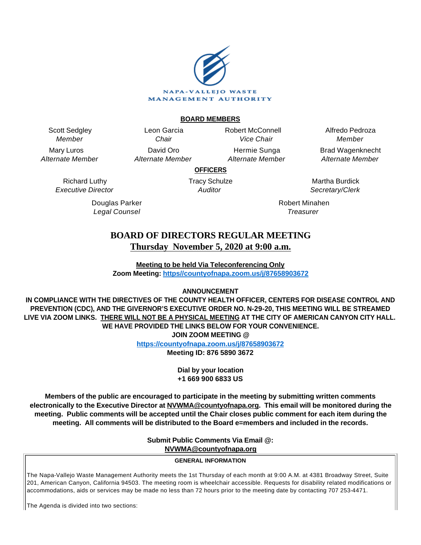

#### **BOARD MEMBERS**

Scott Sedgley Member

Mary Luros Alternate Member

> Richard Luthy Executive Director

> > Douglas Parker Legal Counsel

Leon Garcia **Chair** David Oro Alternate Member Robert McConnell Vice Chair

Hermie Sunga Alternate Member

Alfredo Pedroza Member Brad Wagenknecht

Alternate Member

**OFFICERS**

Tracy Schulze **Auditor** 

Martha Burdick Secretary/Clerk

Robert Minahen **Treasurer** 

# **BOARD OF DIRECTORS REGULAR MEETING Thursday November 5, 2020 at 9:00 a.m.**

**Meeting to be held Via Teleconferencing Only Zoom Meeting: [https//countyofnapa.zoom.us/j/87658903672](http://intranetprod01/AgendaNet/Reports/https//countyofnapa.zoom.us/j/99111938225)**

# **ANNOUNCEMENT**

**IN COMPLIANCE WITH THE DIRECTIVES OF THE COUNTY HEALTH OFFICER, CENTERS FOR DISEASE CONTROL AND PREVENTION (CDC), AND THE GIVERNOR'S EXECUTIVE ORDER NO. N-29-20, THIS MEETING WILL BE STREAMED LIVE VIA ZOOM LINKS. THERE WILL NOT BE A PHYSICAL MEETING AT THE CITY OF AMERICAN CANYON CITY HALL. WE HAVE PROVIDED THE LINKS BELOW FOR YOUR CONVENIENCE. JOIN ZOOM MEETING @**

**<https://countyofnapa.zoom.us/j/87658903672>**

**Meeting ID: 876 5890 3672**

**Dial by your location +1 669 900 6833 US**

**Members of the public are encouraged to participate in the meeting by submitting written comments electronically to the Executive Director at NVWMA@countyofnapa.org. This email will be monitored during the meeting. Public comments will be accepted until the Chair closes public comment for each item during the meeting. All comments will be distributed to the Board e=members and included in the records.**

**Submit Public Comments Via Email @:**

**NVWMA@countyofnapa.org**

#### **GENERAL INFORMATION**

The Napa-Vallejo Waste Management Authority meets the 1st Thursday of each month at 9:00 A.M. at 4381 Broadway Street, Suite 201, American Canyon, California 94503. The meeting room is wheelchair accessible. Requests for disability related modifications or accommodations, aids or services may be made no less than 72 hours prior to the meeting date by contacting 707 253-4471.

The Agenda is divided into two sections: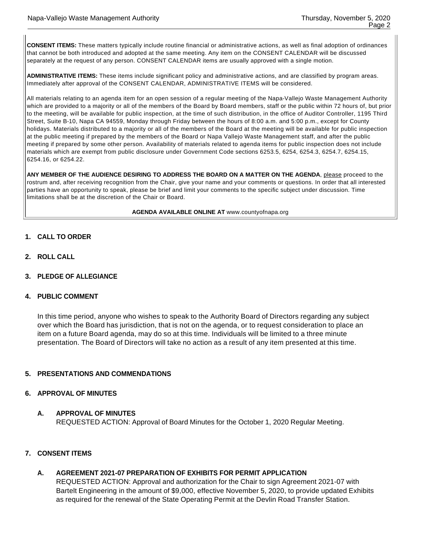**CONSENT ITEMS:** These matters typically include routine financial or administrative actions, as well as final adoption of ordinances that cannot be both introduced and adopted at the same meeting. Any item on the CONSENT CALENDAR will be discussed separately at the request of any person. CONSENT CALENDAR items are usually approved with a single motion.

**ADMINISTRATIVE ITEMS:** These items include significant policy and administrative actions, and are classified by program areas. Immediately after approval of the CONSENT CALENDAR, ADMINISTRATIVE ITEMS will be considered.

All materials relating to an agenda item for an open session of a regular meeting of the Napa-Vallejo Waste Management Authority which are provided to a majority or all of the members of the Board by Board members, staff or the public within 72 hours of, but prior to the meeting, will be available for public inspection, at the time of such distribution, in the office of Auditor Controller, 1195 Third Street, Suite B-10, Napa CA 94559, Monday through Friday between the hours of 8:00 a.m. and 5:00 p.m., except for County holidays. Materials distributed to a majority or all of the members of the Board at the meeting will be available for public inspection at the public meeting if prepared by the members of the Board or Napa Vallejo Waste Management staff, and after the public meeting if prepared by some other person. Availability of materials related to agenda items for public inspection does not include materials which are exempt from public disclosure under Government Code sections 6253.5, 6254, 6254.3, 6254.7, 6254.15, 6254.16, or 6254.22.

**ANY MEMBER OF THE AUDIENCE DESIRING TO ADDRESS THE BOARD ON A MATTER ON THE AGENDA**, please proceed to the rostrum and, after receiving recognition from the Chair, give your name and your comments or questions. In order that all interested parties have an opportunity to speak, please be brief and limit your comments to the specific subject under discussion. Time limitations shall be at the discretion of the Chair or Board.

**AGENDA AVAILABLE ONLINE AT** www.countyofnapa.org

- **1. CALL TO ORDER**
- **2. ROLL CALL**
- **3. PLEDGE OF ALLEGIANCE**

#### **4. PUBLIC COMMENT**

In this time period, anyone who wishes to speak to the Authority Board of Directors regarding any subject over which the Board has jurisdiction, that is not on the agenda, or to request consideration to place an item on a future Board agenda, may do so at this time. Individuals will be limited to a three minute presentation. The Board of Directors will take no action as a result of any item presented at this time.

# **5. PRESENTATIONS AND COMMENDATIONS**

### **6. APPROVAL OF MINUTES**

#### **A. APPROVAL OF MINUTES**

REQUESTED ACTION: Approval of Board Minutes for the October 1, 2020 Regular Meeting.

# **7. CONSENT ITEMS**

# **A. AGREEMENT 2021-07 PREPARATION OF EXHIBITS FOR PERMIT APPLICATION**

REQUESTED ACTION: Approval and authorization for the Chair to sign Agreement 2021-07 with Bartelt Engineering in the amount of \$9,000, effective November 5, 2020, to provide updated Exhibits as required for the renewal of the State Operating Permit at the Devlin Road Transfer Station.